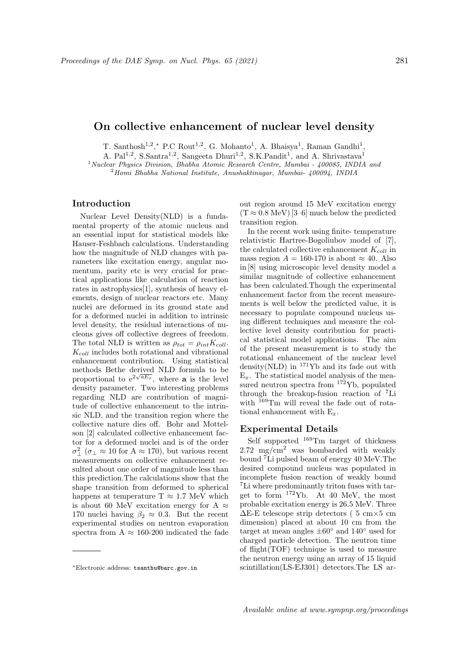# On collective enhancement of nuclear level density

T. Santhosh<sup>1,2</sup>,\* P.C Rout<sup>1,2</sup>, G. Mohanto<sup>1</sup>, A. Bhaisya<sup>1</sup>, Raman Gandhi<sup>1</sup>,

A. Pal<sup>1,2</sup>, S.Santra<sup>1,2</sup>, Sangeeta Dhuri<sup>1,2</sup>, S.K.Pandit<sup>1</sup>, and A. Shrivastava<sup>1</sup>

<sup>1</sup> Nuclear Physics Division, Bhabha Atomic Research Centre, Mumbai - 400085, INDIA and

 $^{2}$ Homi Bhabha National Institute, Anushaktinagar, Mumbai- 400094, INDIA

# Introduction

Nuclear Level Density(NLD) is a fundamental property of the atomic nucleus and an essential input for statistical models like Hauser-Feshbach calculations. Understanding how the magnitude of NLD changes with parameters like excitation energy, angular momentum, parity etc is very crucial for practical applications like calculation of reaction rates in astrophysics[1], synthesis of heavy elements, design of nuclear reactors etc. Many nuclei are deformed in its ground state and for a deformed nuclei in addition to intrinsic level density, the residual interactions of nucleons gives off collective degrees of freedom. The total NLD is written as  $\rho_{tot} = \rho_{int} K_{coll}$ .  $K_{coll}$  includes both rotational and vibrational enhancement contribution. Using statistical methods Bethe derived NLD formula to be proportional to  $e^{2\sqrt{aE_x}}$ , where **a** is the level density parameter. Two interesting problems regarding NLD are contribution of magnitude of collective enhancement to the intrinsic NLD, and the transition region where the collective nature dies off. Bohr and Mottelson [2] calculated collective enhancement factor for a deformed nuclei and is of the order  $\sigma_{\perp}^2$  ( $\sigma_{\perp} \approx 10$  for A  $\approx 170$ ), but various recent measurements on collective enhancement resulted about one order of magnitude less than this prediction.The calculations show that the shape transition from deformed to spherical happens at temperature  $T \approx 1.7$  MeV which is about 60 MeV excitation energy for A  $\approx$ 170 nuclei having  $\beta_2 \approx 0.3$ . But the recent experimental studies on neutron evaporation spectra from  $A \approx 160-200$  indicated the fade out region around 15 MeV excitation energy  $(T \approx 0.8 \text{ MeV})$  [3–6] much below the predicted transition region.

In the recent work using finite- temperature relativistic Hartree-Bogoliubov model of [7], the calculated collective enhancement  $K_{coll}$  in mass region  $A = 160-170$  is about  $\approx 40$ . Also in [8] using microscopic level density model a similar magnitude of collective enhancement has been calculated.Though the experimental enhancement factor from the recent measurements is well below the predicted value, it is necessary to populate compound nucleus using different techniques and measure the collective level density contribution for practical statistical model applications. The aim of the present measurement is to study the rotational enhancement of the nuclear level density(NLD) in  $^{171}\text{Yb}$  and its fade out with  $E<sub>r</sub>$ . The statistical model analysis of the measured neutron spectra from <sup>172</sup>Yb, populated through the breakup-fusion reaction of <sup>7</sup>Li with <sup>169</sup>Tm will reveal the fade out of rotational enhancement with  $E_x$ .

### Experimental Details

Self supported  $169$ Tm target of thickness  $2.72 \text{ mg/cm}^2$  was bombarded with weakly bound <sup>7</sup>Li pulsed beam of energy 40 MeV.The desired compound nucleus was populated in incomplete fusion reaction of weakly bound <sup>7</sup>Li where predominantly triton fuses with target to form <sup>172</sup>Yb. At 40 MeV, the most probable excitation energy is 26.5 MeV. Three ∆E-E telescope strip detectors ( 5 cm×5 cm dimension) placed at about 10 cm from the target at mean angles  $\pm 60^\circ$  and  $140^\circ$  used for charged particle detection. The neutron time of flight(TOF) technique is used to measure the neutron energy using an array of 15 liquid scintillation(LS-EJ301) detectors.The LS ar-

<sup>∗</sup>Electronic address: tsanthu@barc.gov.in